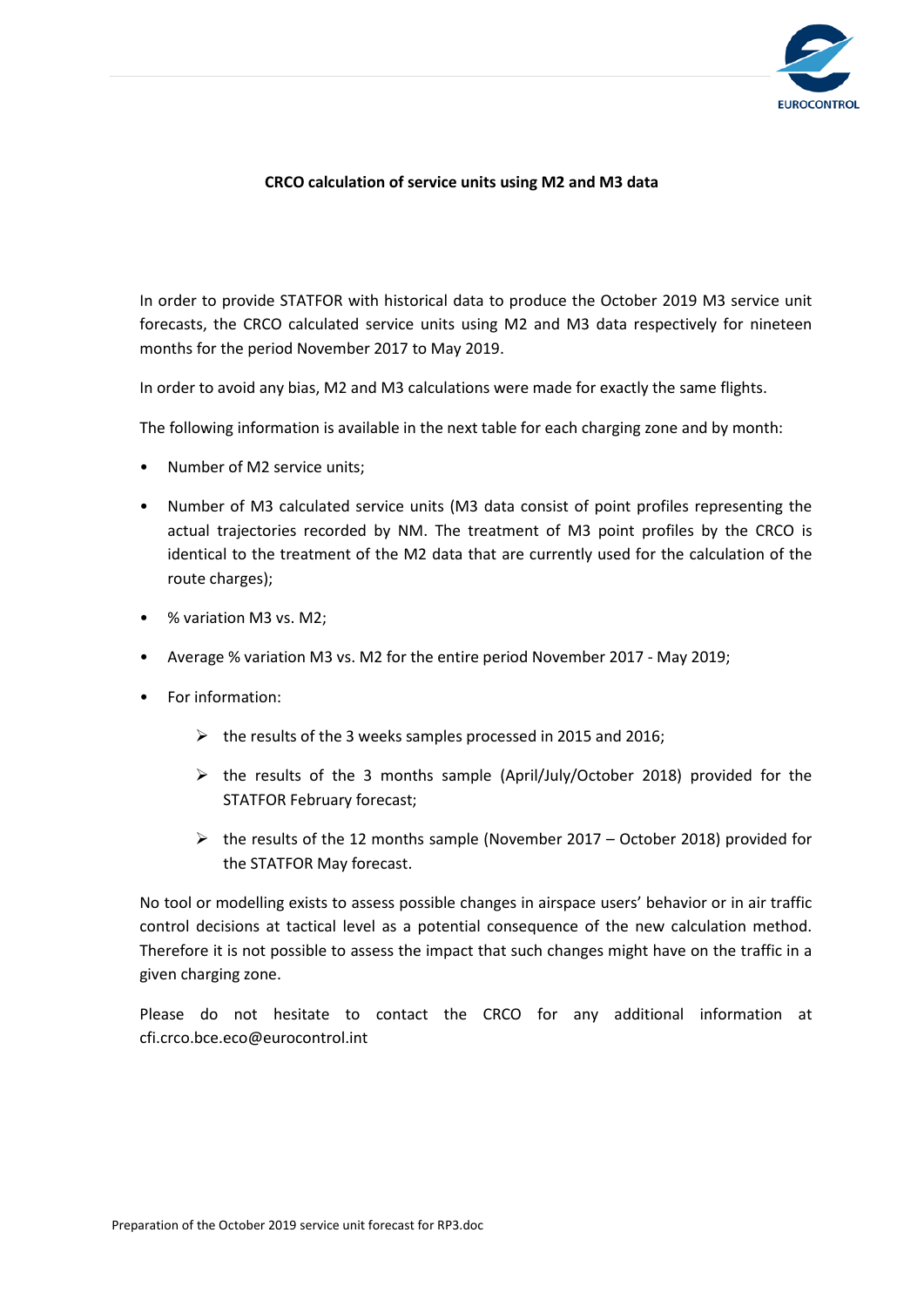

## **CRCO calculation of service units using M2 and M3 data**

In order to provide STATFOR with historical data to produce the October 2019 M3 service unit forecasts, the CRCO calculated service units using M2 and M3 data respectively for nineteen months for the period November 2017 to May 2019.

In order to avoid any bias, M2 and M3 calculations were made for exactly the same flights.

The following information is available in the next table for each charging zone and by month:

- Number of M2 service units;
- Number of M3 calculated service units (M3 data consist of point profiles representing the actual trajectories recorded by NM. The treatment of M3 point profiles by the CRCO is identical to the treatment of the M2 data that are currently used for the calculation of the route charges);
- % variation M3 vs. M2;
- Average % variation M3 vs. M2 for the entire period November 2017 May 2019;
- For information:
	- $\triangleright$  the results of the 3 weeks samples processed in 2015 and 2016;
	- $\triangleright$  the results of the 3 months sample (April/July/October 2018) provided for the STATFOR February forecast;
	- $\triangleright$  the results of the 12 months sample (November 2017 October 2018) provided for the STATFOR May forecast.

No tool or modelling exists to assess possible changes in airspace users' behavior or in air traffic control decisions at tactical level as a potential consequence of the new calculation method. Therefore it is not possible to assess the impact that such changes might have on the traffic in a given charging zone.

Please do not hesitate to contact the CRCO for any additional information at cfi.crco.bce.eco@eurocontrol.int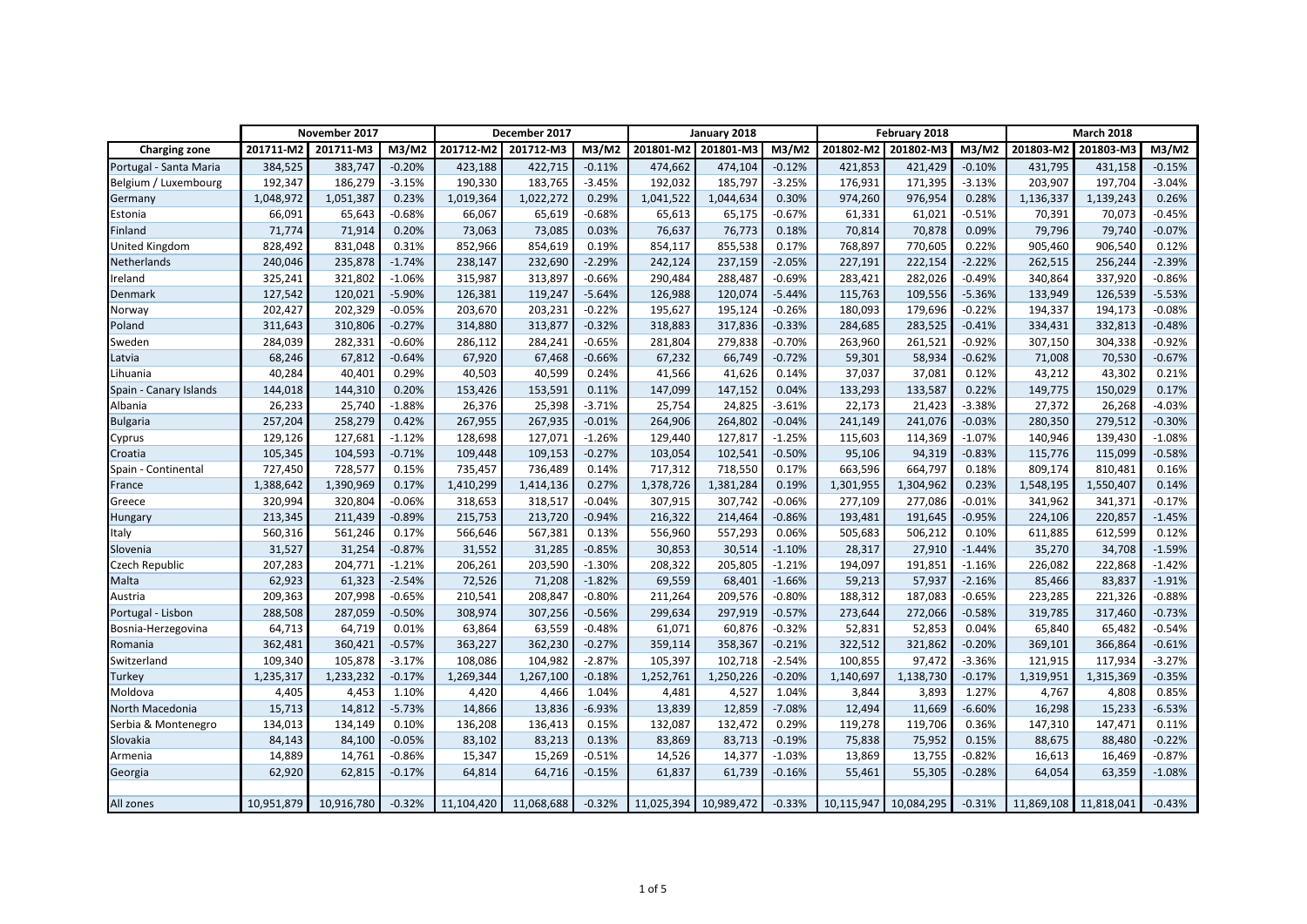|                        | November 2017 |            | December 2017 |            |            | January 2018 |           |                       | February 2018 |           |                       | <b>March 2018</b> |           |                       |          |
|------------------------|---------------|------------|---------------|------------|------------|--------------|-----------|-----------------------|---------------|-----------|-----------------------|-------------------|-----------|-----------------------|----------|
| <b>Charging zone</b>   | 201711-M2     | 201711-M3  | M3/M2         | 201712-M2  | 201712-M3  | M3/M2        |           | 201801-M2 201801-M3   | M3/M2         | 201802-M2 | 201802-M3             | M3/M2             | 201803-M2 | 201803-M3             | M3/M2    |
| Portugal - Santa Maria | 384,525       | 383,747    | $-0.20%$      | 423,188    | 422,715    | $-0.11%$     | 474,662   | 474,104               | $-0.12%$      | 421,853   | 421,429               | $-0.10%$          | 431,795   | 431,158               | $-0.15%$ |
| Belgium / Luxembourg   | 192,347       | 186,279    | $-3.15%$      | 190,330    | 183,765    | $-3.45%$     | 192,032   | 185,797               | $-3.25%$      | 176,931   | 171,395               | $-3.13%$          | 203,907   | 197,704               | $-3.04%$ |
| Germany                | 1,048,972     | 1,051,387  | 0.23%         | 1,019,364  | 1,022,272  | 0.29%        | 1,041,522 | 1,044,634             | 0.30%         | 974,260   | 976,954               | 0.28%             | 1,136,337 | 1,139,243             | 0.26%    |
| Estonia                | 66,091        | 65,643     | $-0.68%$      | 66,067     | 65,619     | $-0.68%$     | 65,613    | 65,175                | $-0.67%$      | 61,331    | 61,021                | $-0.51%$          | 70,391    | 70,073                | $-0.45%$ |
| Finland                | 71,774        | 71,914     | 0.20%         | 73,063     | 73,085     | 0.03%        | 76,637    | 76,773                | 0.18%         | 70,814    | 70,878                | 0.09%             | 79,796    | 79,740                | $-0.07%$ |
| <b>United Kingdom</b>  | 828,492       | 831,048    | 0.31%         | 852,966    | 854,619    | 0.19%        | 854,117   | 855,538               | 0.17%         | 768,897   | 770,605               | 0.22%             | 905,460   | 906,540               | 0.12%    |
| Netherlands            | 240,046       | 235,878    | $-1.74%$      | 238,147    | 232,690    | $-2.29%$     | 242,124   | 237,159               | $-2.05%$      | 227,191   | 222,154               | $-2.22%$          | 262,515   | 256,244               | $-2.39%$ |
| Ireland                | 325,241       | 321,802    | $-1.06%$      | 315,987    | 313,897    | $-0.66%$     | 290,484   | 288,487               | $-0.69%$      | 283,421   | 282,026               | $-0.49%$          | 340,864   | 337,920               | $-0.86%$ |
| Denmark                | 127,542       | 120,021    | $-5.90%$      | 126,381    | 119,247    | $-5.64%$     | 126,988   | 120,074               | $-5.44%$      | 115,763   | 109,556               | $-5.36%$          | 133,949   | 126,539               | $-5.53%$ |
| Norway                 | 202,427       | 202,329    | $-0.05%$      | 203,670    | 203,231    | $-0.22%$     | 195,627   | 195,124               | $-0.26%$      | 180,093   | 179,696               | $-0.22%$          | 194,337   | 194,173               | $-0.08%$ |
| Poland                 | 311,643       | 310,806    | $-0.27%$      | 314,880    | 313,877    | $-0.32%$     | 318,883   | 317,836               | $-0.33%$      | 284,685   | 283,525               | $-0.41%$          | 334,431   | 332,813               | $-0.48%$ |
| Sweden                 | 284,039       | 282,331    | $-0.60%$      | 286,112    | 284,241    | $-0.65%$     | 281,804   | 279,838               | $-0.70%$      | 263,960   | 261,521               | $-0.92%$          | 307,150   | 304,338               | $-0.92%$ |
| Latvia                 | 68,246        | 67,812     | $-0.64%$      | 67,920     | 67,468     | $-0.66%$     | 67,232    | 66,749                | $-0.72%$      | 59,301    | 58,934                | $-0.62%$          | 71,008    | 70,530                | $-0.67%$ |
| Lihuania               | 40,284        | 40,401     | 0.29%         | 40,503     | 40,599     | 0.24%        | 41,566    | 41,626                | 0.14%         | 37,037    | 37,081                | 0.12%             | 43,212    | 43,302                | 0.21%    |
| Spain - Canary Islands | 144,018       | 144,310    | 0.20%         | 153,426    | 153,591    | 0.11%        | 147,099   | 147,152               | 0.04%         | 133,293   | 133,587               | 0.22%             | 149,775   | 150,029               | 0.17%    |
| Albania                | 26,233        | 25,740     | $-1.88%$      | 26,376     | 25,398     | $-3.71%$     | 25,754    | 24,825                | $-3.61%$      | 22,173    | 21,423                | $-3.38%$          | 27,372    | 26,268                | $-4.03%$ |
| <b>Bulgaria</b>        | 257,204       | 258,279    | 0.42%         | 267,955    | 267,935    | $-0.01%$     | 264,906   | 264,802               | $-0.04%$      | 241,149   | 241,076               | $-0.03%$          | 280,350   | 279,512               | $-0.30%$ |
| Cyprus                 | 129,126       | 127,681    | $-1.12%$      | 128,698    | 127,071    | $-1.26%$     | 129,440   | 127,817               | $-1.25%$      | 115,603   | 114,369               | $-1.07%$          | 140,946   | 139,430               | $-1.08%$ |
| Croatia                | 105,345       | 104,593    | $-0.71%$      | 109,448    | 109,153    | $-0.27%$     | 103,054   | 102,541               | $-0.50%$      | 95,106    | 94,319                | $-0.83%$          | 115,776   | 115,099               | $-0.58%$ |
| Spain - Continental    | 727,450       | 728,577    | 0.15%         | 735,457    | 736,489    | 0.14%        | 717,312   | 718,550               | 0.17%         | 663,596   | 664,797               | 0.18%             | 809,174   | 810,481               | 0.16%    |
| France                 | 1,388,642     | 1,390,969  | 0.17%         | 1,410,299  | 1,414,136  | 0.27%        | 1,378,726 | 1,381,284             | 0.19%         | 1,301,955 | 1,304,962             | 0.23%             | 1,548,195 | 1,550,407             | 0.14%    |
| Greece                 | 320,994       | 320,804    | $-0.06%$      | 318,653    | 318,517    | $-0.04%$     | 307,915   | 307,742               | $-0.06%$      | 277,109   | 277,086               | $-0.01%$          | 341,962   | 341,371               | $-0.17%$ |
| Hungary                | 213,345       | 211,439    | $-0.89%$      | 215,753    | 213,720    | $-0.94%$     | 216,322   | 214,464               | $-0.86%$      | 193,481   | 191,645               | $-0.95%$          | 224,106   | 220,857               | $-1.45%$ |
| Italy                  | 560,316       | 561,246    | 0.17%         | 566,646    | 567,381    | 0.13%        | 556,960   | 557,293               | 0.06%         | 505,683   | 506,212               | 0.10%             | 611,885   | 612,599               | 0.12%    |
| Slovenia               | 31,527        | 31,254     | $-0.87%$      | 31,552     | 31,285     | $-0.85%$     | 30,853    | 30,514                | $-1.10%$      | 28,317    | 27,910                | $-1.44%$          | 35,270    | 34,708                | $-1.59%$ |
| <b>Czech Republic</b>  | 207,283       | 204,771    | $-1.21%$      | 206,261    | 203,590    | $-1.30%$     | 208,322   | 205,805               | $-1.21%$      | 194,097   | 191,851               | $-1.16%$          | 226,082   | 222,868               | $-1.42%$ |
| Malta                  | 62,923        | 61,323     | $-2.54%$      | 72,526     | 71,208     | $-1.82%$     | 69,559    | 68,401                | $-1.66%$      | 59,213    | 57,937                | $-2.16%$          | 85,466    | 83,837                | $-1.91%$ |
| Austria                | 209,363       | 207,998    | $-0.65%$      | 210,541    | 208,847    | $-0.80%$     | 211,264   | 209,576               | $-0.80%$      | 188,312   | 187,083               | $-0.65%$          | 223,285   | 221,326               | $-0.88%$ |
| Portugal - Lisbon      | 288,508       | 287,059    | $-0.50%$      | 308,974    | 307,256    | $-0.56%$     | 299,634   | 297,919               | $-0.57%$      | 273,644   | 272,066               | $-0.58%$          | 319,785   | 317,460               | $-0.73%$ |
| Bosnia-Herzegovina     | 64,713        | 64,719     | 0.01%         | 63,864     | 63,559     | $-0.48%$     | 61,071    | 60,876                | $-0.32%$      | 52,831    | 52,853                | 0.04%             | 65,840    | 65,482                | $-0.54%$ |
| Romania                | 362,481       | 360,421    | $-0.57%$      | 363,227    | 362,230    | $-0.27%$     | 359,114   | 358,367               | $-0.21%$      | 322,512   | 321,862               | $-0.20%$          | 369,101   | 366,864               | $-0.61%$ |
| Switzerland            | 109,340       | 105,878    | $-3.17%$      | 108,086    | 104,982    | $-2.87%$     | 105,397   | 102,718               | $-2.54%$      | 100,855   | 97,472                | $-3.36%$          | 121,915   | 117,934               | $-3.27%$ |
| <b>Turkey</b>          | 1,235,317     | 1,233,232  | $-0.17%$      | 1,269,344  | 1,267,100  | $-0.18%$     | 1,252,761 | 1,250,226             | $-0.20%$      | 1,140,697 | 1,138,730             | $-0.17%$          | 1,319,951 | 1,315,369             | $-0.35%$ |
| Moldova                | 4,405         | 4,453      | 1.10%         | 4,420      | 4,466      | 1.04%        | 4,481     | 4,527                 | 1.04%         | 3,844     | 3,893                 | 1.27%             | 4,767     | 4,808                 | 0.85%    |
| North Macedonia        | 15,713        | 14,812     | $-5.73%$      | 14,866     | 13,836     | $-6.93%$     | 13,839    | 12,859                | $-7.08%$      | 12,494    | 11,669                | $-6.60%$          | 16,298    | 15,233                | $-6.53%$ |
| Serbia & Montenegro    | 134,013       | 134,149    | 0.10%         | 136,208    | 136,413    | 0.15%        | 132,087   | 132,472               | 0.29%         | 119,278   | 119,706               | 0.36%             | 147,310   | 147,471               | 0.11%    |
| Slovakia               | 84,143        | 84,100     | $-0.05%$      | 83,102     | 83,213     | 0.13%        | 83,869    | 83,713                | $-0.19%$      | 75,838    | 75,952                | 0.15%             | 88,675    | 88,480                | $-0.22%$ |
| Armenia                | 14,889        | 14,761     | $-0.86%$      | 15,347     | 15,269     | $-0.51%$     | 14,526    | 14,377                | $-1.03%$      | 13,869    | 13,755                | $-0.82%$          | 16,613    | 16,469                | $-0.87%$ |
| Georgia                | 62,920        | 62,815     | $-0.17%$      | 64,814     | 64,716     | $-0.15%$     | 61,837    | 61,739                | $-0.16%$      | 55,461    | 55,305                | $-0.28%$          | 64,054    | 63,359                | $-1.08%$ |
|                        |               |            |               |            |            |              |           |                       |               |           |                       |                   |           |                       |          |
| All zones              | 10,951,879    | 10,916,780 | $-0.32%$      | 11,104,420 | 11,068,688 | $-0.32%$     |           | 11,025,394 10,989,472 | $-0.33%$      |           | 10,115,947 10,084,295 | $-0.31%$          |           | 11,869,108 11,818,041 | $-0.43%$ |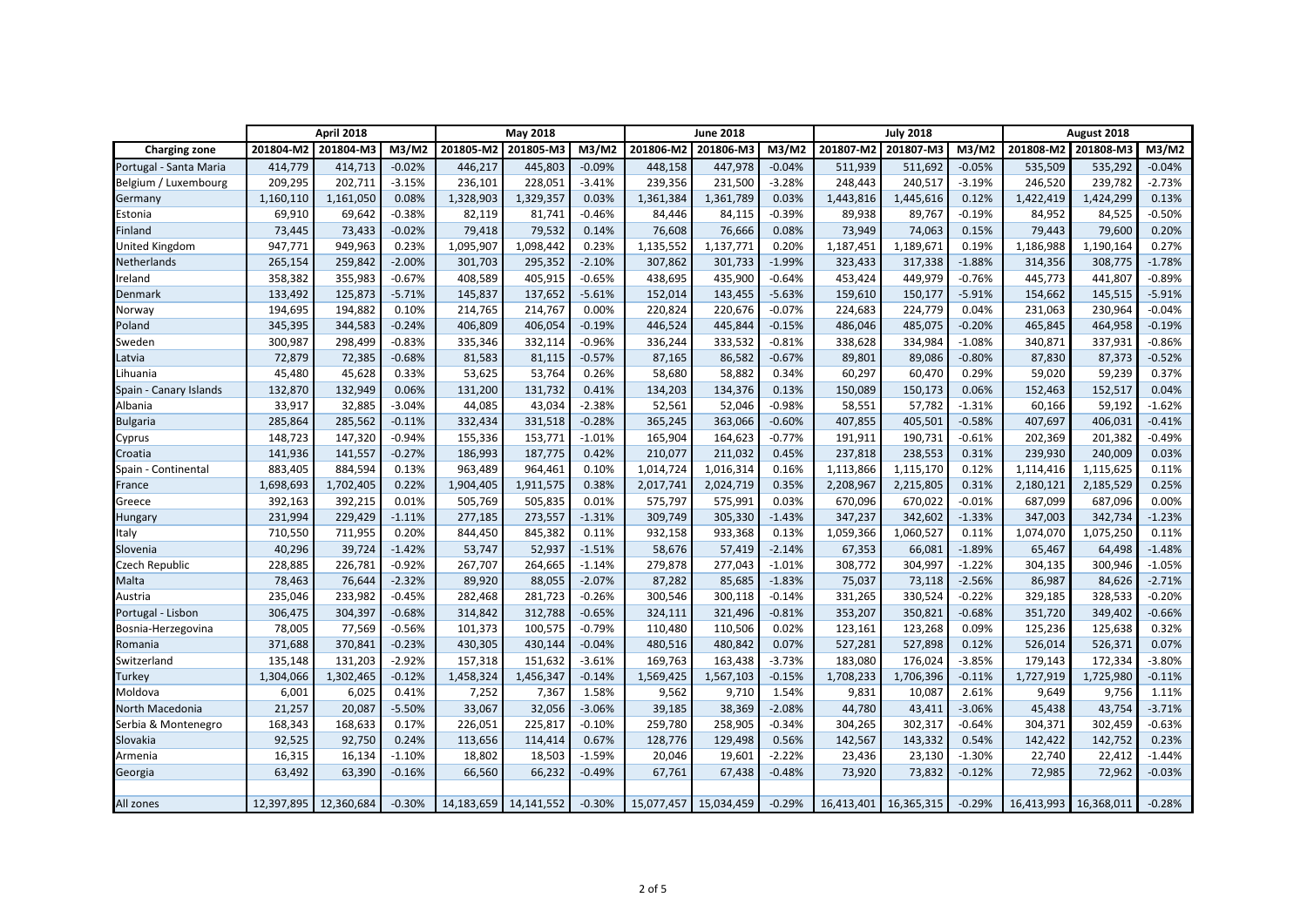|                        | <b>April 2018</b> |                       |          | <b>May 2018</b> |                           |          | <b>June 2018</b> |                       |          | <b>July 2018</b> |                       |          | August 2018 |                       |          |
|------------------------|-------------------|-----------------------|----------|-----------------|---------------------------|----------|------------------|-----------------------|----------|------------------|-----------------------|----------|-------------|-----------------------|----------|
| <b>Charging zone</b>   | 201804-M2         | 201804-M3             | M3/M2    | 201805-M2       | 201805-M3                 | M3/M2    | 201806-M2        | 201806-M3             | M3/M2    | 201807-M2        | 201807-M3             | M3/M2    | 201808-M2   | 201808-M3             | M3/M2    |
| Portugal - Santa Maria | 414,779           | 414,713               | $-0.02%$ | 446,217         | 445,803                   | $-0.09%$ | 448,158          | 447,978               | $-0.04%$ | 511,939          | 511,692               | $-0.05%$ | 535,509     | 535,292               | $-0.04%$ |
| Belgium / Luxembourg   | 209,295           | 202,711               | $-3.15%$ | 236,101         | 228,051                   | $-3.41%$ | 239,356          | 231,500               | $-3.28%$ | 248,443          | 240,517               | $-3.19%$ | 246,520     | 239,782               | $-2.73%$ |
| Germany                | 1,160,110         | 1,161,050             | 0.08%    | 1,328,903       | 1,329,357                 | 0.03%    | 1,361,384        | 1,361,789             | 0.03%    | 1,443,816        | 1,445,616             | 0.12%    | 1,422,419   | 1,424,299             | 0.13%    |
| Estonia                | 69,910            | 69,642                | $-0.38%$ | 82,119          | 81,741                    | $-0.46%$ | 84,446           | 84,115                | $-0.39%$ | 89,938           | 89,767                | $-0.19%$ | 84,952      | 84,525                | $-0.50%$ |
| Finland                | 73,445            | 73,433                | $-0.02%$ | 79,418          | 79,532                    | 0.14%    | 76,608           | 76,666                | 0.08%    | 73,949           | 74,063                | 0.15%    | 79,443      | 79,600                | 0.20%    |
| <b>United Kingdom</b>  | 947,771           | 949,963               | 0.23%    | 1,095,907       | 1,098,442                 | 0.23%    | 1,135,552        | 1,137,771             | 0.20%    | 1,187,451        | 1,189,671             | 0.19%    | 1,186,988   | 1,190,164             | 0.27%    |
| Netherlands            | 265,154           | 259,842               | $-2.00%$ | 301,703         | 295,352                   | $-2.10%$ | 307,862          | 301,733               | $-1.99%$ | 323,433          | 317,338               | $-1.88%$ | 314,356     | 308,775               | $-1.78%$ |
| Ireland                | 358,382           | 355,983               | $-0.67%$ | 408,589         | 405,915                   | $-0.65%$ | 438,695          | 435,900               | $-0.64%$ | 453,424          | 449,979               | $-0.76%$ | 445,773     | 441,807               | $-0.89%$ |
| Denmark                | 133,492           | 125,873               | $-5.71%$ | 145,837         | 137,652                   | $-5.61%$ | 152,014          | 143,455               | $-5.63%$ | 159,610          | 150,177               | $-5.91%$ | 154,662     | 145,515               | $-5.91%$ |
| Norway                 | 194,695           | 194,882               | 0.10%    | 214,765         | 214,767                   | 0.00%    | 220,824          | 220,676               | $-0.07%$ | 224,683          | 224,779               | 0.04%    | 231,063     | 230,964               | $-0.04%$ |
| Poland                 | 345,395           | 344,583               | $-0.24%$ | 406,809         | 406,054                   | $-0.19%$ | 446,524          | 445,844               | $-0.15%$ | 486,046          | 485,075               | $-0.20%$ | 465,845     | 464,958               | $-0.19%$ |
| Sweden                 | 300,987           | 298,499               | $-0.83%$ | 335,346         | 332,114                   | $-0.96%$ | 336,244          | 333,532               | $-0.81%$ | 338,628          | 334,984               | $-1.08%$ | 340,871     | 337,931               | $-0.86%$ |
| Latvia                 | 72,879            | 72,385                | $-0.68%$ | 81,583          | 81,115                    | $-0.57%$ | 87,165           | 86,582                | $-0.67%$ | 89,801           | 89,086                | $-0.80%$ | 87,830      | 87,373                | $-0.52%$ |
| Lihuania               | 45,480            | 45,628                | 0.33%    | 53,625          | 53,764                    | 0.26%    | 58,680           | 58,882                | 0.34%    | 60,297           | 60,470                | 0.29%    | 59,020      | 59,239                | 0.37%    |
| Spain - Canary Islands | 132,870           | 132,949               | 0.06%    | 131,200         | 131,732                   | 0.41%    | 134,203          | 134,376               | 0.13%    | 150,089          | 150,173               | 0.06%    | 152,463     | 152,517               | 0.04%    |
| Albania                | 33,917            | 32,885                | $-3.04%$ | 44,085          | 43,034                    | $-2.38%$ | 52,561           | 52,046                | $-0.98%$ | 58,551           | 57,782                | $-1.31%$ | 60,166      | 59,192                | $-1.62%$ |
| <b>Bulgaria</b>        | 285,864           | 285,562               | $-0.11%$ | 332,434         | 331,518                   | $-0.28%$ | 365,245          | 363,066               | $-0.60%$ | 407,855          | 405,501               | $-0.58%$ | 407,697     | 406,031               | $-0.41%$ |
| Cyprus                 | 148,723           | 147,320               | $-0.94%$ | 155,336         | 153,771                   | $-1.01%$ | 165,904          | 164,623               | $-0.77%$ | 191,911          | 190,731               | $-0.61%$ | 202,369     | 201,382               | $-0.49%$ |
| Croatia                | 141,936           | 141,557               | $-0.27%$ | 186,993         | 187,775                   | 0.42%    | 210,077          | 211,032               | 0.45%    | 237,818          | 238,553               | 0.31%    | 239,930     | 240,009               | 0.03%    |
| Spain - Continental    | 883,405           | 884,594               | 0.13%    | 963,489         | 964,461                   | 0.10%    | 1,014,724        | 1,016,314             | 0.16%    | 1,113,866        | 1,115,170             | 0.12%    | 1,114,416   | 1,115,625             | 0.11%    |
| France                 | 1,698,693         | 1,702,405             | 0.22%    | 1,904,405       | 1,911,575                 | 0.38%    | 2,017,741        | 2,024,719             | 0.35%    | 2,208,967        | 2,215,805             | 0.31%    | 2,180,121   | 2,185,529             | 0.25%    |
| Greece                 | 392,163           | 392,215               | 0.01%    | 505,769         | 505,835                   | 0.01%    | 575,797          | 575,991               | 0.03%    | 670,096          | 670,022               | $-0.01%$ | 687,099     | 687,096               | 0.00%    |
| <b>Hungary</b>         | 231,994           | 229,429               | $-1.11%$ | 277,185         | 273,557                   | $-1.31%$ | 309,749          | 305,330               | $-1.43%$ | 347,237          | 342,602               | $-1.33%$ | 347,003     | 342,734               | $-1.23%$ |
| Italy                  | 710,550           | 711,955               | 0.20%    | 844,450         | 845,382                   | 0.11%    | 932,158          | 933,368               | 0.13%    | 1,059,366        | 1,060,527             | 0.11%    | 1,074,070   | 1,075,250             | 0.11%    |
| Slovenia               | 40,296            | 39,724                | $-1.42%$ | 53,747          | 52,937                    | $-1.51%$ | 58,676           | 57,419                | $-2.14%$ | 67,353           | 66,081                | $-1.89%$ | 65,467      | 64,498                | $-1.48%$ |
| Czech Republic         | 228,885           | 226,781               | $-0.92%$ | 267,707         | 264,665                   | $-1.14%$ | 279,878          | 277,043               | $-1.01%$ | 308,772          | 304,997               | $-1.22%$ | 304,135     | 300,946               | $-1.05%$ |
| Malta                  | 78,463            | 76,644                | $-2.32%$ | 89,920          | 88,055                    | $-2.07%$ | 87,282           | 85,685                | $-1.83%$ | 75,037           | 73,118                | $-2.56%$ | 86,987      | 84,626                | $-2.71%$ |
| Austria                | 235,046           | 233,982               | $-0.45%$ | 282,468         | 281,723                   | $-0.26%$ | 300,546          | 300,118               | $-0.14%$ | 331,265          | 330,524               | $-0.22%$ | 329,185     | 328,533               | $-0.20%$ |
| Portugal - Lisbon      | 306,475           | 304,397               | $-0.68%$ | 314,842         | 312,788                   | $-0.65%$ | 324,111          | 321,496               | $-0.81%$ | 353,207          | 350,821               | $-0.68%$ | 351,720     | 349,402               | $-0.66%$ |
| Bosnia-Herzegovina     | 78,005            | 77,569                | $-0.56%$ | 101,373         | 100,575                   | $-0.79%$ | 110,480          | 110,506               | 0.02%    | 123,161          | 123,268               | 0.09%    | 125,236     | 125,638               | 0.32%    |
| Romania                | 371,688           | 370,841               | $-0.23%$ | 430,305         | 430,144                   | $-0.04%$ | 480,516          | 480,842               | 0.07%    | 527,281          | 527,898               | 0.12%    | 526,014     | 526,371               | 0.07%    |
| Switzerland            | 135,148           | 131,203               | $-2.92%$ | 157,318         | 151,632                   | $-3.61%$ | 169,763          | 163,438               | $-3.73%$ | 183,080          | 176,024               | $-3.85%$ | 179,143     | 172,334               | $-3.80%$ |
| <b>Turkey</b>          | 1,304,066         | 1,302,465             | $-0.12%$ | 1,458,324       | 1,456,347                 | $-0.14%$ | 1,569,425        | 1,567,103             | $-0.15%$ | 1,708,233        | 1,706,396             | $-0.11%$ | 1,727,919   | 1,725,980             | $-0.11%$ |
| Moldova                | 6,001             | 6,025                 | 0.41%    | 7,252           | 7,367                     | 1.58%    | 9,562            | 9,710                 | 1.54%    | 9,831            | 10,087                | 2.61%    | 9,649       | 9,756                 | 1.11%    |
| North Macedonia        | 21,257            | 20,087                | $-5.50%$ | 33,067          | 32,056                    | $-3.06%$ | 39,185           | 38,369                | $-2.08%$ | 44,780           | 43,411                | $-3.06%$ | 45,438      | 43,754                | $-3.71%$ |
| Serbia & Montenegro    | 168,343           | 168,633               | 0.17%    | 226,051         | 225,817                   | $-0.10%$ | 259,780          | 258,905               | $-0.34%$ | 304,265          | 302,317               | $-0.64%$ | 304,371     | 302,459               | $-0.63%$ |
| Slovakia               | 92,525            | 92,750                | 0.24%    | 113,656         | 114,414                   | 0.67%    | 128,776          | 129,498               | 0.56%    | 142,567          | 143,332               | 0.54%    | 142,422     | 142,752               | 0.23%    |
| Armenia                | 16,315            | 16,134                | $-1.10%$ | 18,802          | 18,503                    | $-1.59%$ | 20,046           | 19,601                | $-2.22%$ | 23,436           | 23,130                | $-1.30%$ | 22,740      | 22,412                | $-1.44%$ |
| Georgia                | 63,492            | 63,390                | $-0.16%$ | 66,560          | 66,232                    | $-0.49%$ | 67,761           | 67,438                | $-0.48%$ | 73,920           | 73,832                | $-0.12%$ | 72,985      | 72,962                | $-0.03%$ |
|                        |                   |                       |          |                 |                           |          |                  |                       |          |                  |                       |          |             |                       |          |
| All zones              |                   | 12,397,895 12,360,684 | $-0.30%$ |                 | 14, 183, 659 14, 141, 552 | $-0.30%$ |                  | 15,077,457 15,034,459 | $-0.29%$ |                  | 16,413,401 16,365,315 | $-0.29%$ |             | 16,413,993 16,368,011 | $-0.28%$ |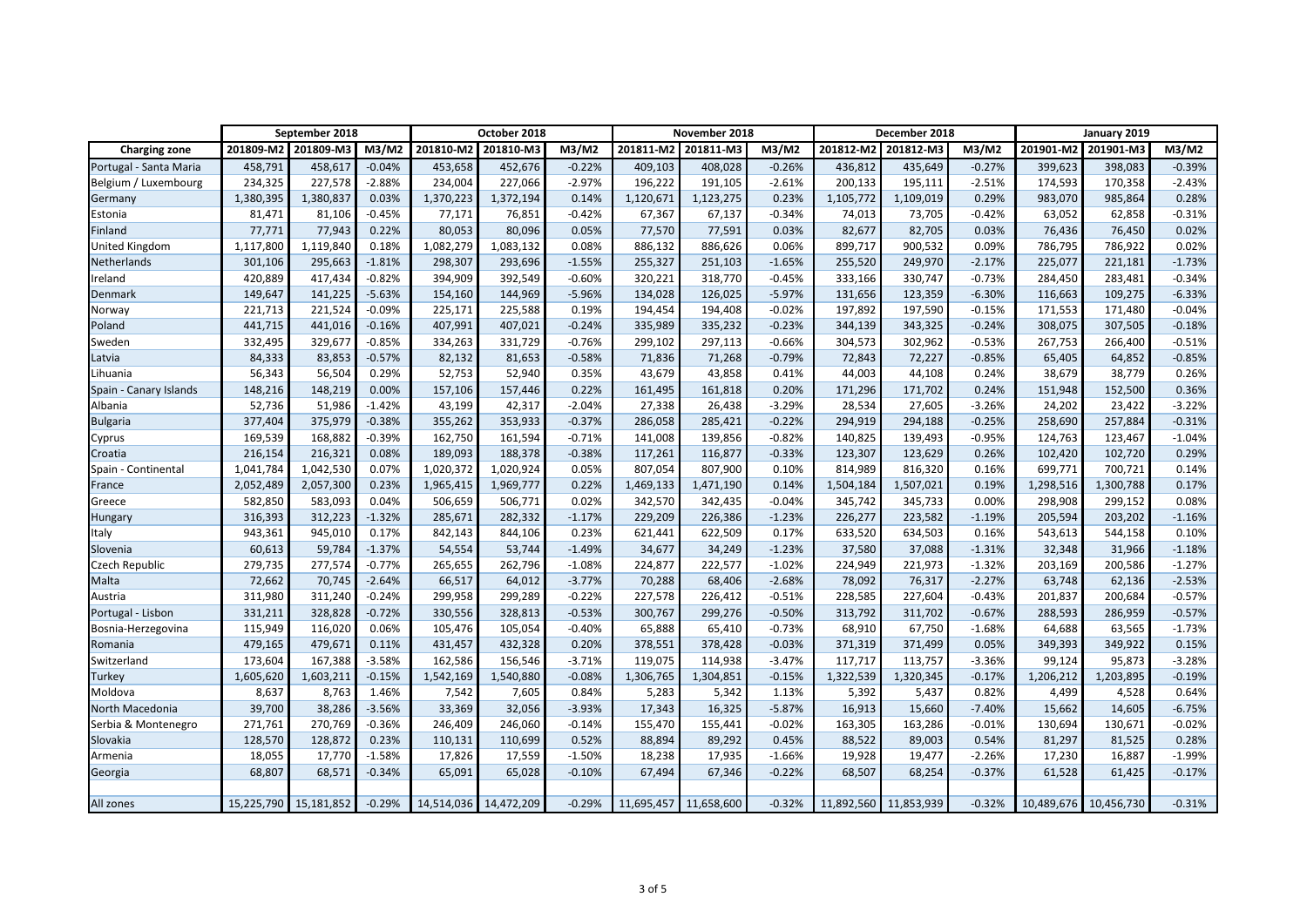|                        | September 2018 |                       |          | October 2018 |                       |          | November 2018         |                     |          | December 2018 |                       |          | January 2019 |                       |          |
|------------------------|----------------|-----------------------|----------|--------------|-----------------------|----------|-----------------------|---------------------|----------|---------------|-----------------------|----------|--------------|-----------------------|----------|
| <b>Charging zone</b>   | 201809-M2      | 201809-M3             | M3/M2    | 201810-M2    | 201810-M3             | M3/M2    |                       | 201811-M2 201811-M3 | M3/M2    | 201812-M2     | 201812-M3             | M3/M2    |              | 201901-M2 201901-M3   | M3/M2    |
| Portugal - Santa Maria | 458,791        | 458,617               | $-0.04%$ | 453,658      | 452,676               | $-0.22%$ | 409,103               | 408,028             | $-0.26%$ | 436,812       | 435,649               | $-0.27%$ | 399,623      | 398,083               | $-0.39%$ |
| Belgium / Luxembourg   | 234,325        | 227,578               | $-2.88%$ | 234,004      | 227,066               | $-2.97%$ | 196,222               | 191,105             | $-2.61%$ | 200,133       | 195,111               | $-2.51%$ | 174,593      | 170,358               | $-2.43%$ |
| Germany                | 1,380,395      | 1,380,837             | 0.03%    | 1,370,223    | 1,372,194             | 0.14%    | 1,120,671             | 1,123,275           | 0.23%    | 1,105,772     | 1,109,019             | 0.29%    | 983,070      | 985,864               | 0.28%    |
| Estonia                | 81,471         | 81,106                | $-0.45%$ | 77,171       | 76,851                | $-0.42%$ | 67,367                | 67,137              | $-0.34%$ | 74,013        | 73,705                | $-0.42%$ | 63,052       | 62,858                | $-0.31%$ |
| Finland                | 77,771         | 77,943                | 0.22%    | 80,053       | 80,096                | 0.05%    | 77,570                | 77,591              | 0.03%    | 82,677        | 82,705                | 0.03%    | 76,436       | 76,450                | 0.02%    |
| <b>United Kingdom</b>  | 1,117,800      | 1,119,840             | 0.18%    | 1,082,279    | 1,083,132             | 0.08%    | 886,132               | 886,626             | 0.06%    | 899,717       | 900,532               | 0.09%    | 786,795      | 786,922               | 0.02%    |
| Netherlands            | 301,106        | 295,663               | $-1.81%$ | 298,307      | 293,696               | $-1.55%$ | 255,327               | 251,103             | $-1.65%$ | 255,520       | 249,970               | $-2.17%$ | 225,077      | 221,181               | $-1.73%$ |
| Ireland                | 420,889        | 417,434               | $-0.82%$ | 394,909      | 392,549               | $-0.60%$ | 320,221               | 318,770             | $-0.45%$ | 333,166       | 330,747               | $-0.73%$ | 284,450      | 283,481               | $-0.34%$ |
| Denmark                | 149,647        | 141,225               | $-5.63%$ | 154,160      | 144,969               | $-5.96%$ | 134,028               | 126,025             | $-5.97%$ | 131,656       | 123,359               | $-6.30%$ | 116,663      | 109,275               | $-6.33%$ |
| Norway                 | 221,713        | 221,524               | $-0.09%$ | 225,171      | 225,588               | 0.19%    | 194,454               | 194,408             | $-0.02%$ | 197,892       | 197,590               | $-0.15%$ | 171,553      | 171,480               | $-0.04%$ |
| Poland                 | 441,715        | 441,016               | $-0.16%$ | 407,991      | 407,021               | $-0.24%$ | 335,989               | 335,232             | $-0.23%$ | 344,139       | 343,325               | $-0.24%$ | 308,075      | 307,505               | $-0.18%$ |
| Sweden                 | 332,495        | 329,677               | $-0.85%$ | 334,263      | 331,729               | $-0.76%$ | 299,102               | 297,113             | $-0.66%$ | 304,573       | 302,962               | $-0.53%$ | 267,753      | 266,400               | $-0.51%$ |
| Latvia                 | 84,333         | 83,853                | $-0.57%$ | 82,132       | 81,653                | $-0.58%$ | 71,836                | 71,268              | $-0.79%$ | 72,843        | 72,227                | $-0.85%$ | 65,405       | 64,852                | $-0.85%$ |
| Lihuania               | 56,343         | 56,504                | 0.29%    | 52,753       | 52,940                | 0.35%    | 43,679                | 43,858              | 0.41%    | 44,003        | 44,108                | 0.24%    | 38,679       | 38,779                | 0.26%    |
| Spain - Canary Islands | 148,216        | 148,219               | 0.00%    | 157,106      | 157,446               | 0.22%    | 161,495               | 161,818             | 0.20%    | 171,296       | 171,702               | 0.24%    | 151,948      | 152,500               | 0.36%    |
| Albania                | 52,736         | 51,986                | $-1.42%$ | 43,199       | 42,317                | $-2.04%$ | 27,338                | 26,438              | $-3.29%$ | 28,534        | 27,605                | $-3.26%$ | 24,202       | 23,422                | $-3.22%$ |
| <b>Bulgaria</b>        | 377,404        | 375,979               | $-0.38%$ | 355,262      | 353,933               | $-0.37%$ | 286,058               | 285,421             | $-0.22%$ | 294,919       | 294,188               | $-0.25%$ | 258,690      | 257,884               | $-0.31%$ |
| Cyprus                 | 169,539        | 168,882               | $-0.39%$ | 162,750      | 161,594               | $-0.71%$ | 141,008               | 139,856             | $-0.82%$ | 140,825       | 139,493               | $-0.95%$ | 124,763      | 123,467               | $-1.04%$ |
| Croatia                | 216,154        | 216,321               | 0.08%    | 189,093      | 188,378               | $-0.38%$ | 117,261               | 116,877             | $-0.33%$ | 123,307       | 123,629               | 0.26%    | 102,420      | 102,720               | 0.29%    |
| Spain - Continental    | 1,041,784      | 1,042,530             | 0.07%    | 1,020,372    | 1,020,924             | 0.05%    | 807,054               | 807,900             | 0.10%    | 814,989       | 816,320               | 0.16%    | 699,771      | 700,721               | 0.14%    |
| France                 | 2,052,489      | 2,057,300             | 0.23%    | 1,965,415    | 1,969,777             | 0.22%    | 1,469,133             | 1,471,190           | 0.14%    | 1,504,184     | 1,507,021             | 0.19%    | 1,298,516    | 1,300,788             | 0.17%    |
| Greece                 | 582,850        | 583,093               | 0.04%    | 506,659      | 506,771               | 0.02%    | 342,570               | 342,435             | $-0.04%$ | 345,742       | 345,733               | 0.00%    | 298,908      | 299,152               | 0.08%    |
| Hungary                | 316,393        | 312,223               | $-1.32%$ | 285,671      | 282,332               | $-1.17%$ | 229,209               | 226,386             | $-1.23%$ | 226,277       | 223,582               | $-1.19%$ | 205,594      | 203,202               | $-1.16%$ |
| Italy                  | 943,361        | 945,010               | 0.17%    | 842,143      | 844,106               | 0.23%    | 621,441               | 622,509             | 0.17%    | 633,520       | 634,503               | 0.16%    | 543,613      | 544,158               | 0.10%    |
| Slovenia               | 60,613         | 59,784                | $-1.37%$ | 54,554       | 53,744                | $-1.49%$ | 34,677                | 34,249              | $-1.23%$ | 37,580        | 37,088                | $-1.31%$ | 32,348       | 31,966                | $-1.18%$ |
| <b>Czech Republic</b>  | 279,735        | 277,574               | $-0.77%$ | 265,655      | 262,796               | $-1.08%$ | 224,877               | 222,577             | $-1.02%$ | 224,949       | 221,973               | $-1.32%$ | 203,169      | 200,586               | $-1.27%$ |
| Malta                  | 72,662         | 70,745                | $-2.64%$ | 66,517       | 64,012                | $-3.77%$ | 70,288                | 68,406              | $-2.68%$ | 78,092        | 76,317                | $-2.27%$ | 63,748       | 62,136                | $-2.53%$ |
| Austria                | 311,980        | 311,240               | $-0.24%$ | 299,958      | 299,289               | $-0.22%$ | 227,578               | 226,412             | $-0.51%$ | 228,585       | 227,604               | $-0.43%$ | 201,837      | 200,684               | $-0.57%$ |
| Portugal - Lisbon      | 331,211        | 328,828               | $-0.72%$ | 330,556      | 328,813               | $-0.53%$ | 300,767               | 299,276             | $-0.50%$ | 313,792       | 311,702               | $-0.67%$ | 288,593      | 286,959               | $-0.57%$ |
| Bosnia-Herzegovina     | 115,949        | 116,020               | 0.06%    | 105,476      | 105,054               | $-0.40%$ | 65,888                | 65,410              | $-0.73%$ | 68,910        | 67,750                | $-1.68%$ | 64,688       | 63,565                | $-1.73%$ |
| Romania                | 479,165        | 479,671               | 0.11%    | 431,457      | 432,328               | 0.20%    | 378,551               | 378,428             | $-0.03%$ | 371,319       | 371,499               | 0.05%    | 349,393      | 349,922               | 0.15%    |
| Switzerland            | 173,604        | 167,388               | $-3.58%$ | 162,586      | 156,546               | $-3.71%$ | 119,075               | 114,938             | $-3.47%$ | 117,717       | 113,757               | $-3.36%$ | 99,124       | 95,873                | $-3.28%$ |
| Turkey                 | 1,605,620      | 1,603,211             | $-0.15%$ | 1,542,169    | 1,540,880             | $-0.08%$ | 1,306,765             | 1,304,851           | $-0.15%$ | 1,322,539     | 1,320,345             | $-0.17%$ | 1,206,212    | 1,203,895             | $-0.19%$ |
| Moldova                | 8,637          | 8,763                 | 1.46%    | 7,542        | 7,605                 | 0.84%    | 5,283                 | 5,342               | 1.13%    | 5,392         | 5,437                 | 0.82%    | 4,499        | 4,528                 | 0.64%    |
| North Macedonia        | 39,700         | 38,286                | $-3.56%$ | 33,369       | 32,056                | $-3.93%$ | 17,343                | 16,325              | $-5.87%$ | 16,913        | 15,660                | $-7.40%$ | 15,662       | 14,605                | $-6.75%$ |
| Serbia & Montenegro    | 271,761        | 270,769               | $-0.36%$ | 246,409      | 246,060               | $-0.14%$ | 155,470               | 155,441             | $-0.02%$ | 163,305       | 163,286               | $-0.01%$ | 130,694      | 130,671               | $-0.02%$ |
| Slovakia               | 128,570        | 128,872               | 0.23%    | 110,131      | 110,699               | 0.52%    | 88,894                | 89,292              | 0.45%    | 88,522        | 89,003                | 0.54%    | 81,297       | 81,525                | 0.28%    |
| Armenia                | 18,055         | 17,770                | $-1.58%$ | 17,826       | 17,559                | $-1.50%$ | 18,238                | 17,935              | $-1.66%$ | 19,928        | 19,477                | $-2.26%$ | 17,230       | 16,887                | $-1.99%$ |
| Georgia                | 68,807         | 68,571                | $-0.34%$ | 65,091       | 65,028                | $-0.10%$ | 67,494                | 67,346              | $-0.22%$ | 68,507        | 68,254                | $-0.37%$ | 61,528       | 61,425                | $-0.17%$ |
|                        |                |                       |          |              |                       |          |                       |                     |          |               |                       |          |              |                       |          |
| All zones              |                | 15,225,790 15,181,852 | $-0.29%$ |              | 14,514,036 14,472,209 | $-0.29%$ | 11,695,457 11,658,600 |                     | $-0.32%$ |               | 11,892,560 11,853,939 | $-0.32%$ |              | 10,489,676 10,456,730 | $-0.31%$ |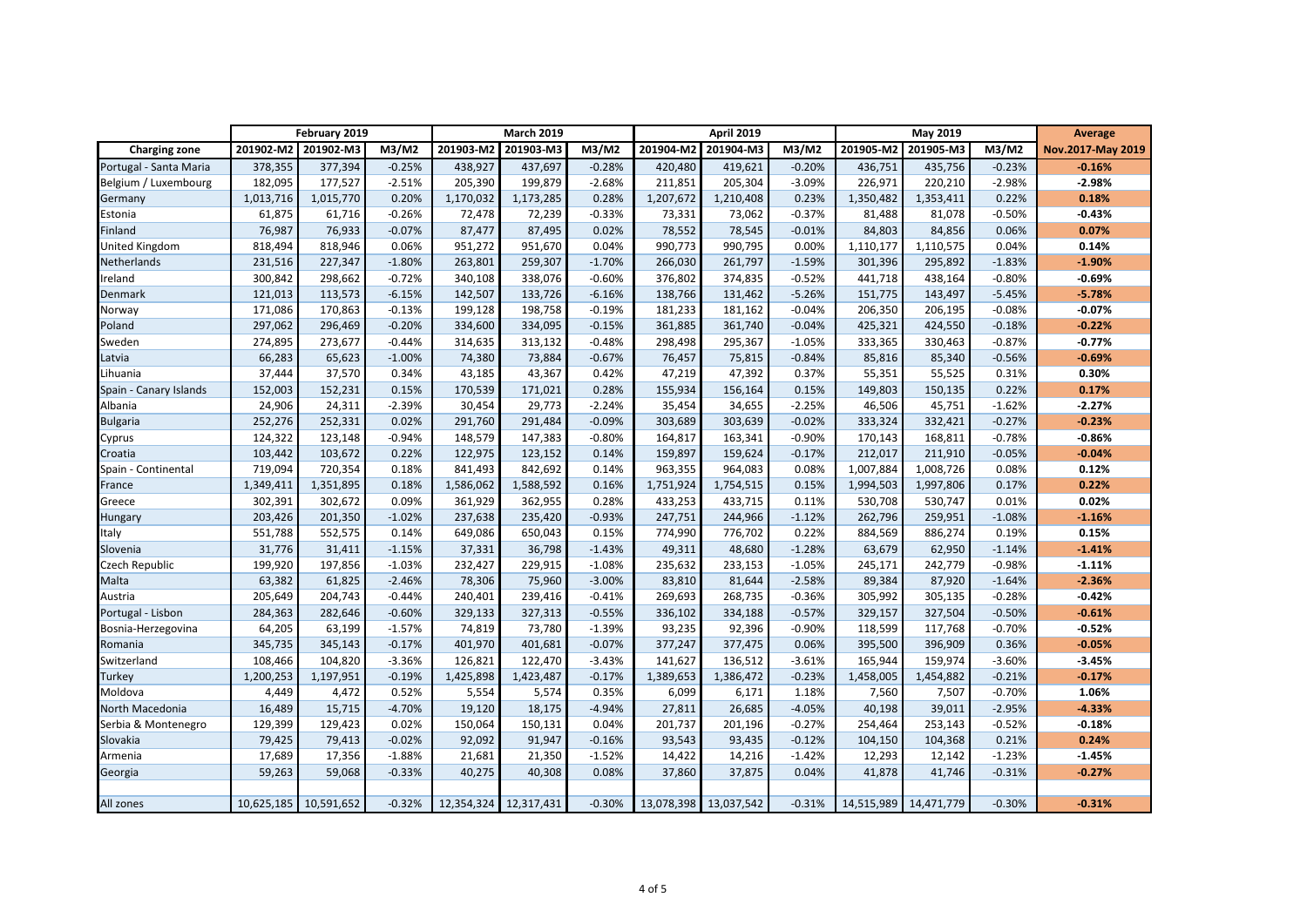|                        | February 2019 |                       |          | <b>March 2019</b> |                       |          | <b>April 2019</b>   |                       |          | <b>May 2019</b> |                       |          | <b>Average</b>    |
|------------------------|---------------|-----------------------|----------|-------------------|-----------------------|----------|---------------------|-----------------------|----------|-----------------|-----------------------|----------|-------------------|
| <b>Charging zone</b>   | 201902-M2     | 201902-M3             | M3/M2    | 201903-M2         | 201903-M3             | M3/M2    | 201904-M2 201904-M3 |                       | M3/M2    | 201905-M2       | 201905-M3             | M3/M2    | Nov.2017-May 2019 |
| Portugal - Santa Maria | 378,355       | 377,394               | $-0.25%$ | 438,927           | 437,697               | $-0.28%$ | 420,480             | 419,621               | $-0.20%$ | 436,751         | 435,756               | $-0.23%$ | $-0.16%$          |
| Belgium / Luxembourg   | 182,095       | 177,527               | $-2.51%$ | 205,390           | 199,879               | $-2.68%$ | 211,851             | 205,304               | $-3.09%$ | 226,971         | 220,210               | $-2.98%$ | $-2.98%$          |
| Germany                | 1,013,716     | 1,015,770             | 0.20%    | 1,170,032         | 1,173,285             | 0.28%    | 1,207,672           | 1,210,408             | 0.23%    | 1,350,482       | 1,353,411             | 0.22%    | 0.18%             |
| Estonia                | 61,875        | 61,716                | $-0.26%$ | 72,478            | 72,239                | $-0.33%$ | 73,331              | 73,062                | $-0.37%$ | 81,488          | 81,078                | $-0.50%$ | $-0.43%$          |
| Finland                | 76,987        | 76,933                | $-0.07%$ | 87,477            | 87,495                | 0.02%    | 78,552              | 78,545                | $-0.01%$ | 84,803          | 84,856                | 0.06%    | 0.07%             |
| <b>United Kingdom</b>  | 818,494       | 818,946               | 0.06%    | 951,272           | 951,670               | 0.04%    | 990,773             | 990,795               | 0.00%    | 1,110,177       | 1,110,575             | 0.04%    | 0.14%             |
| Netherlands            | 231,516       | 227,347               | $-1.80%$ | 263,801           | 259,307               | $-1.70%$ | 266,030             | 261,797               | $-1.59%$ | 301,396         | 295,892               | $-1.83%$ | $-1.90%$          |
| Ireland                | 300,842       | 298,662               | $-0.72%$ | 340,108           | 338,076               | $-0.60%$ | 376,802             | 374,835               | $-0.52%$ | 441,718         | 438,164               | $-0.80%$ | $-0.69%$          |
| Denmark                | 121,013       | 113,573               | $-6.15%$ | 142,507           | 133,726               | $-6.16%$ | 138,766             | 131,462               | $-5.26%$ | 151,775         | 143,497               | $-5.45%$ | $-5.78%$          |
| Norway                 | 171,086       | 170,863               | $-0.13%$ | 199,128           | 198,758               | $-0.19%$ | 181,233             | 181,162               | $-0.04%$ | 206,350         | 206,195               | $-0.08%$ | $-0.07%$          |
| Poland                 | 297,062       | 296,469               | $-0.20%$ | 334,600           | 334,095               | $-0.15%$ | 361,885             | 361,740               | $-0.04%$ | 425,321         | 424,550               | $-0.18%$ | $-0.22%$          |
| Sweden                 | 274,895       | 273,677               | $-0.44%$ | 314,635           | 313,132               | $-0.48%$ | 298,498             | 295,367               | $-1.05%$ | 333,365         | 330,463               | $-0.87%$ | $-0.77%$          |
| Latvia                 | 66,283        | 65,623                | $-1.00%$ | 74,380            | 73,884                | $-0.67%$ | 76,457              | 75,815                | $-0.84%$ | 85,816          | 85,340                | $-0.56%$ | $-0.69%$          |
| Lihuania               | 37,444        | 37,570                | 0.34%    | 43,185            | 43,367                | 0.42%    | 47,219              | 47,392                | 0.37%    | 55,351          | 55,525                | 0.31%    | 0.30%             |
| Spain - Canary Islands | 152,003       | 152,231               | 0.15%    | 170,539           | 171,021               | 0.28%    | 155,934             | 156,164               | 0.15%    | 149,803         | 150,135               | 0.22%    | 0.17%             |
| Albania                | 24,906        | 24,311                | $-2.39%$ | 30,454            | 29,773                | $-2.24%$ | 35,454              | 34,655                | $-2.25%$ | 46,506          | 45,751                | $-1.62%$ | $-2.27%$          |
| <b>Bulgaria</b>        | 252,276       | 252,331               | 0.02%    | 291,760           | 291,484               | $-0.09%$ | 303,689             | 303,639               | $-0.02%$ | 333,324         | 332,421               | $-0.27%$ | $-0.23%$          |
| Cyprus                 | 124,322       | 123,148               | $-0.94%$ | 148,579           | 147,383               | $-0.80%$ | 164,817             | 163,341               | $-0.90%$ | 170,143         | 168,811               | $-0.78%$ | $-0.86%$          |
| Croatia                | 103,442       | 103,672               | 0.22%    | 122,975           | 123,152               | 0.14%    | 159,897             | 159,624               | $-0.17%$ | 212,017         | 211,910               | $-0.05%$ | $-0.04%$          |
| Spain - Continental    | 719,094       | 720,354               | 0.18%    | 841,493           | 842,692               | 0.14%    | 963,355             | 964,083               | 0.08%    | 1,007,884       | 1,008,726             | 0.08%    | 0.12%             |
| France                 | 1,349,411     | 1,351,895             | 0.18%    | 1,586,062         | 1,588,592             | 0.16%    | 1,751,924           | 1,754,515             | 0.15%    | 1,994,503       | 1,997,806             | 0.17%    | 0.22%             |
| Greece                 | 302,391       | 302,672               | 0.09%    | 361,929           | 362,955               | 0.28%    | 433,253             | 433,715               | 0.11%    | 530,708         | 530,747               | 0.01%    | 0.02%             |
| Hungary                | 203,426       | 201,350               | $-1.02%$ | 237,638           | 235,420               | $-0.93%$ | 247,751             | 244,966               | $-1.12%$ | 262,796         | 259,951               | $-1.08%$ | $-1.16%$          |
| Italy                  | 551,788       | 552,575               | 0.14%    | 649,086           | 650,043               | 0.15%    | 774,990             | 776,702               | 0.22%    | 884,569         | 886,274               | 0.19%    | 0.15%             |
| Slovenia               | 31,776        | 31,411                | $-1.15%$ | 37,331            | 36,798                | $-1.43%$ | 49,311              | 48,680                | $-1.28%$ | 63,679          | 62,950                | $-1.14%$ | $-1.41%$          |
| Czech Republic         | 199,920       | 197,856               | $-1.03%$ | 232,427           | 229,915               | $-1.08%$ | 235,632             | 233,153               | $-1.05%$ | 245,171         | 242,779               | $-0.98%$ | $-1.11%$          |
| Malta                  | 63,382        | 61,825                | $-2.46%$ | 78,306            | 75,960                | $-3.00%$ | 83,810              | 81,644                | $-2.58%$ | 89,384          | 87,920                | $-1.64%$ | $-2.36%$          |
| Austria                | 205,649       | 204,743               | $-0.44%$ | 240,401           | 239,416               | $-0.41%$ | 269,693             | 268,735               | $-0.36%$ | 305,992         | 305,135               | $-0.28%$ | $-0.42%$          |
| Portugal - Lisbon      | 284,363       | 282,646               | $-0.60%$ | 329,133           | 327,313               | $-0.55%$ | 336,102             | 334,188               | $-0.57%$ | 329,157         | 327,504               | $-0.50%$ | $-0.61%$          |
| Bosnia-Herzegovina     | 64,205        | 63,199                | $-1.57%$ | 74,819            | 73,780                | $-1.39%$ | 93,235              | 92,396                | $-0.90%$ | 118,599         | 117,768               | $-0.70%$ | $-0.52%$          |
| Romania                | 345,735       | 345,143               | $-0.17%$ | 401,970           | 401,681               | $-0.07%$ | 377,247             | 377,475               | 0.06%    | 395,500         | 396,909               | 0.36%    | $-0.05%$          |
| Switzerland            | 108,466       | 104,820               | $-3.36%$ | 126,821           | 122,470               | $-3.43%$ | 141,627             | 136,512               | $-3.61%$ | 165,944         | 159,974               | $-3.60%$ | $-3.45%$          |
| <b>Turkey</b>          | 1,200,253     | 1,197,951             | $-0.19%$ | 1,425,898         | 1,423,487             | $-0.17%$ | 1,389,653           | 1,386,472             | $-0.23%$ | 1,458,005       | 1,454,882             | $-0.21%$ | $-0.17%$          |
| Moldova                | 4,449         | 4,472                 | 0.52%    | 5,554             | 5,574                 | 0.35%    | 6,099               | 6,171                 | 1.18%    | 7,560           | 7,507                 | $-0.70%$ | 1.06%             |
| North Macedonia        | 16,489        | 15,715                | $-4.70%$ | 19,120            | 18,175                | $-4.94%$ | 27,811              | 26,685                | $-4.05%$ | 40,198          | 39,011                | $-2.95%$ | $-4.33%$          |
| Serbia & Montenegro    | 129,399       | 129,423               | 0.02%    | 150,064           | 150,131               | 0.04%    | 201,737             | 201,196               | $-0.27%$ | 254,464         | 253,143               | $-0.52%$ | $-0.18%$          |
| Slovakia               | 79,425        | 79,413                | $-0.02%$ | 92,092            | 91,947                | $-0.16%$ | 93,543              | 93,435                | $-0.12%$ | 104,150         | 104,368               | 0.21%    | 0.24%             |
| Armenia                | 17,689        | 17,356                | $-1.88%$ | 21,681            | 21,350                | $-1.52%$ | 14,422              | 14,216                | $-1.42%$ | 12,293          | 12,142                | $-1.23%$ | $-1.45%$          |
| Georgia                | 59,263        | 59,068                | $-0.33%$ | 40,275            | 40,308                | 0.08%    | 37,860              | 37,875                | 0.04%    | 41,878          | 41,746                | $-0.31%$ | $-0.27%$          |
|                        |               |                       |          |                   |                       |          |                     |                       |          |                 |                       |          |                   |
| All zones              |               | 10,625,185 10,591,652 | $-0.32%$ |                   | 12,354,324 12,317,431 | $-0.30%$ |                     | 13,078,398 13,037,542 | $-0.31%$ |                 | 14,515,989 14,471,779 | $-0.30%$ | $-0.31%$          |